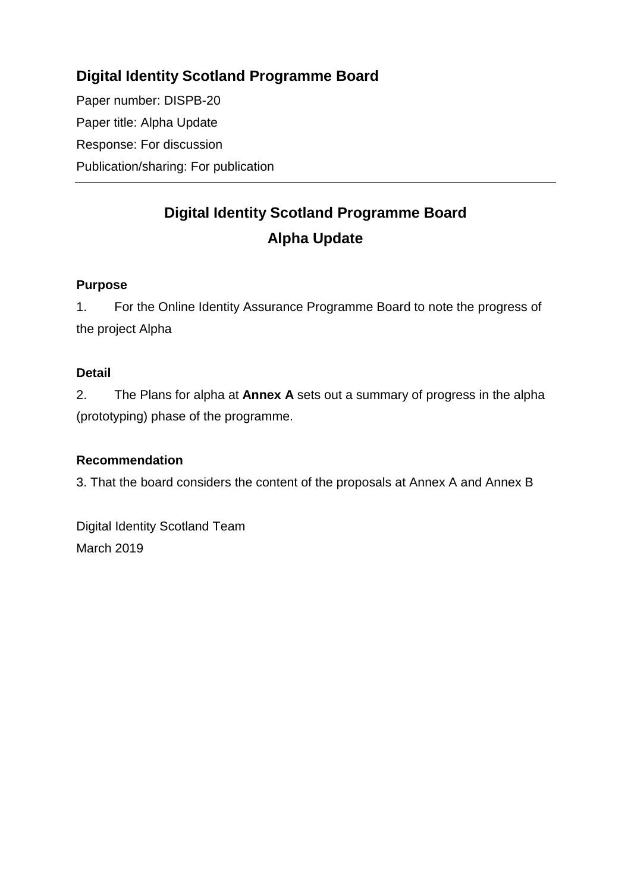# **Digital Identity Scotland Programme Board**

Paper number: DISPB-20 Paper title: Alpha Update Response: For discussion Publication/sharing: For publication

# **Digital Identity Scotland Programme Board Alpha Update**

# **Purpose**

1. For the Online Identity Assurance Programme Board to note the progress of the project Alpha

#### **Detail**

2. The Plans for alpha at **Annex A** sets out a summary of progress in the alpha (prototyping) phase of the programme.

# **Recommendation**

3. That the board considers the content of the proposals at Annex A and Annex B

Digital Identity Scotland Team March 2019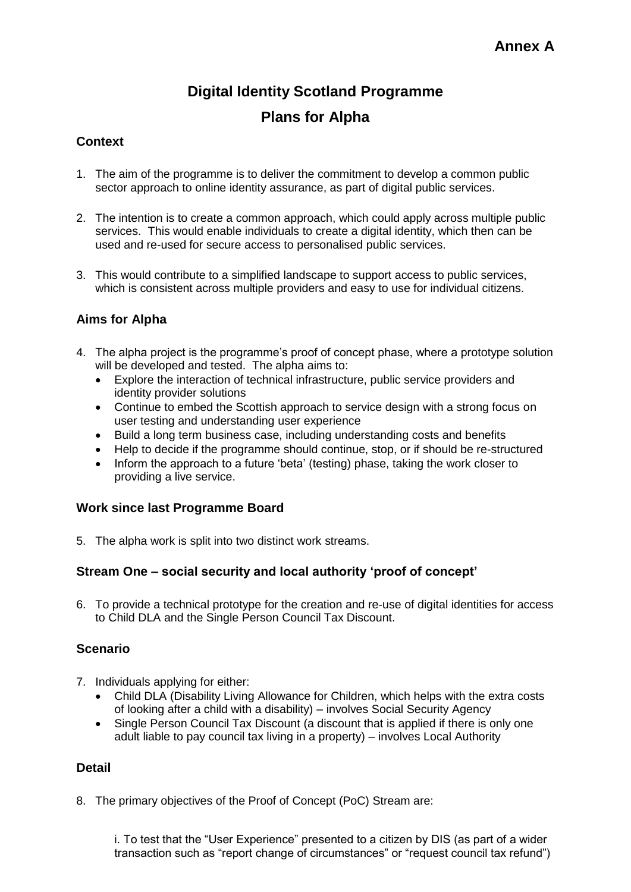# **Digital Identity Scotland Programme**

# **Plans for Alpha**

### **Context**

- 1. The aim of the programme is to deliver the commitment to develop a common public sector approach to online identity assurance, as part of digital public services.
- 2. The intention is to create a common approach, which could apply across multiple public services. This would enable individuals to create a digital identity, which then can be used and re-used for secure access to personalised public services.
- 3. This would contribute to a simplified landscape to support access to public services, which is consistent across multiple providers and easy to use for individual citizens.

#### **Aims for Alpha**

- 4. The alpha project is the programme's proof of concept phase, where a prototype solution will be developed and tested. The alpha aims to:
	- Explore the interaction of technical infrastructure, public service providers and identity provider solutions
	- Continue to embed the Scottish approach to service design with a strong focus on user testing and understanding user experience
	- Build a long term business case, including understanding costs and benefits
	- Help to decide if the programme should continue, stop, or if should be re-structured
	- Inform the approach to a future 'beta' (testing) phase, taking the work closer to providing a live service.

#### **Work since last Programme Board**

5. The alpha work is split into two distinct work streams.

#### **Stream One – social security and local authority 'proof of concept'**

6. To provide a technical prototype for the creation and re-use of digital identities for access to Child DLA and the Single Person Council Tax Discount.

#### **Scenario**

- 7. Individuals applying for either:
	- Child DLA (Disability Living Allowance for Children, which helps with the extra costs of looking after a child with a disability) – involves Social Security Agency
	- Single Person Council Tax Discount (a discount that is applied if there is only one adult liable to pay council tax living in a property) – involves Local Authority

#### **Detail**

8. The primary objectives of the Proof of Concept (PoC) Stream are:

i. To test that the "User Experience" presented to a citizen by DIS (as part of a wider transaction such as "report change of circumstances" or "request council tax refund")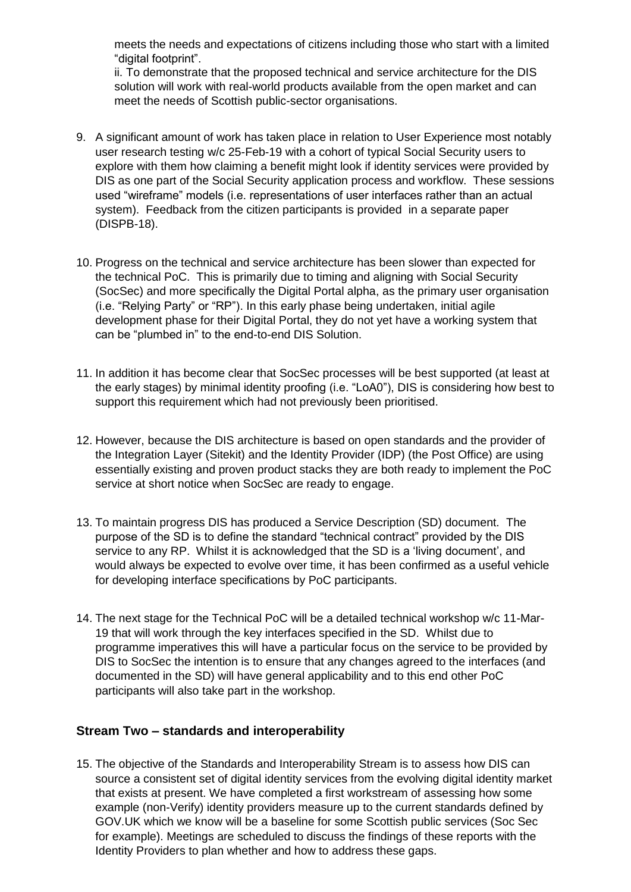meets the needs and expectations of citizens including those who start with a limited "digital footprint".

ii. To demonstrate that the proposed technical and service architecture for the DIS solution will work with real-world products available from the open market and can meet the needs of Scottish public-sector organisations.

- 9. A significant amount of work has taken place in relation to User Experience most notably user research testing w/c 25-Feb-19 with a cohort of typical Social Security users to explore with them how claiming a benefit might look if identity services were provided by DIS as one part of the Social Security application process and workflow. These sessions used "wireframe" models (i.e. representations of user interfaces rather than an actual system). Feedback from the citizen participants is provided in a separate paper (DISPB-18).
- 10. Progress on the technical and service architecture has been slower than expected for the technical PoC. This is primarily due to timing and aligning with Social Security (SocSec) and more specifically the Digital Portal alpha, as the primary user organisation (i.e. "Relying Party" or "RP"). In this early phase being undertaken, initial agile development phase for their Digital Portal, they do not yet have a working system that can be "plumbed in" to the end-to-end DIS Solution.
- 11. In addition it has become clear that SocSec processes will be best supported (at least at the early stages) by minimal identity proofing (i.e. "LoA0"), DIS is considering how best to support this requirement which had not previously been prioritised.
- 12. However, because the DIS architecture is based on open standards and the provider of the Integration Layer (Sitekit) and the Identity Provider (IDP) (the Post Office) are using essentially existing and proven product stacks they are both ready to implement the PoC service at short notice when SocSec are ready to engage.
- 13. To maintain progress DIS has produced a Service Description (SD) document. The purpose of the SD is to define the standard "technical contract" provided by the DIS service to any RP. Whilst it is acknowledged that the SD is a 'living document', and would always be expected to evolve over time, it has been confirmed as a useful vehicle for developing interface specifications by PoC participants.
- 14. The next stage for the Technical PoC will be a detailed technical workshop w/c 11-Mar-19 that will work through the key interfaces specified in the SD. Whilst due to programme imperatives this will have a particular focus on the service to be provided by DIS to SocSec the intention is to ensure that any changes agreed to the interfaces (and documented in the SD) will have general applicability and to this end other PoC participants will also take part in the workshop.

#### **Stream Two – standards and interoperability**

15. The objective of the Standards and Interoperability Stream is to assess how DIS can source a consistent set of digital identity services from the evolving digital identity market that exists at present. We have completed a first workstream of assessing how some example (non-Verify) identity providers measure up to the current standards defined by GOV.UK which we know will be a baseline for some Scottish public services (Soc Sec for example). Meetings are scheduled to discuss the findings of these reports with the Identity Providers to plan whether and how to address these gaps.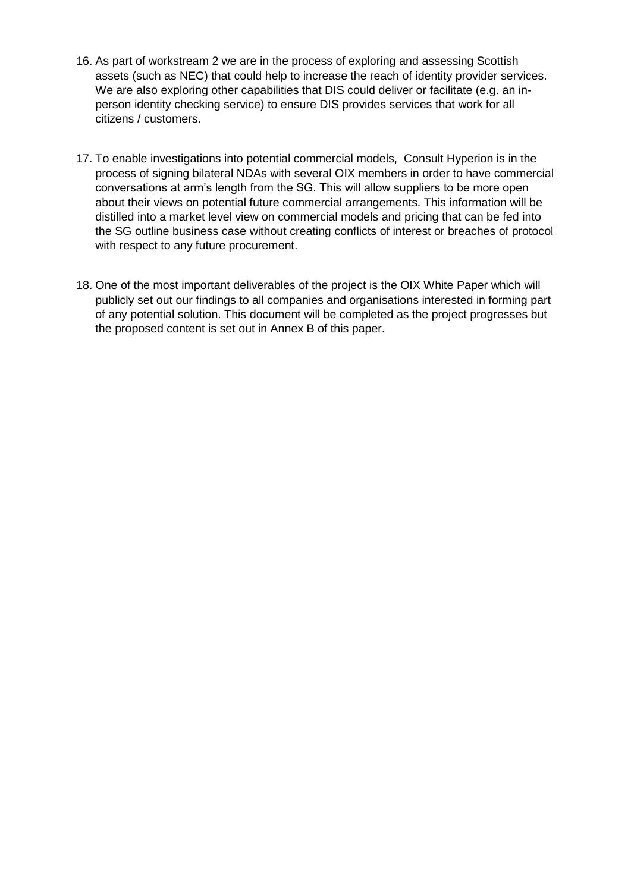- 16. As part of workstream 2 we are in the process of exploring and assessing Scottish assets (such as NEC) that could help to increase the reach of identity provider services. We are also exploring other capabilities that DIS could deliver or facilitate (e.g. an inperson identity checking service) to ensure DIS provides services that work for all citizens / customers.
- 17. To enable investigations into potential commercial models, Consult Hyperion is in the process of signing bilateral NDAs with several OIX members in order to have commercial conversations at arm's length from the SG. This will allow suppliers to be more open about their views on potential future commercial arrangements. This information will be distilled into a market level view on commercial models and pricing that can be fed into the SG outline business case without creating conflicts of interest or breaches of protocol with respect to any future procurement.
- 18. One of the most important deliverables of the project is the OIX White Paper which will publicly set out our findings to all companies and organisations interested in forming part of any potential solution. This document will be completed as the project progresses but the proposed content is set out in Annex B of this paper.